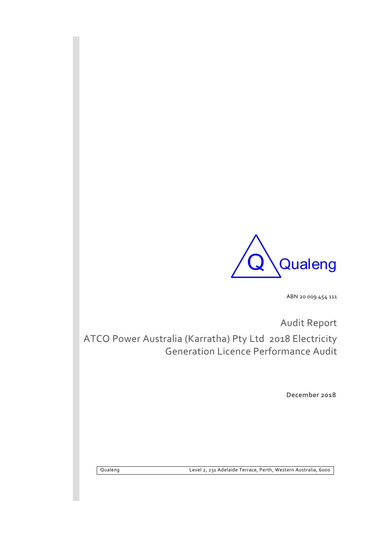

ABN 20 009 454 111

Audit Report

ATCO Power Australia (Karratha) Pty Ltd 2018 Electricity Generation Licence Performance Audit

**December 2018**

Qualeng Level 2, 231 Adelaide Terrace, Perth, Western Australia, 6000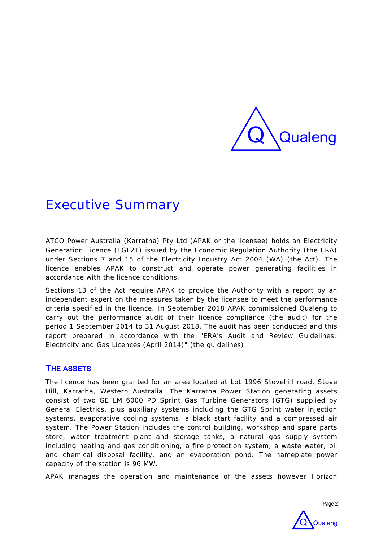

# Executive Summary

ATCO Power Australia (Karratha) Pty Ltd (APAK or the licensee) holds an Electricity Generation Licence (EGL21) issued by the Economic Regulation Authority (the ERA) under Sections 7 and 15 of the Electricity Industry Act 2004 (WA) (the Act). The licence enables APAK to construct and operate power generating facilities in accordance with the licence conditions.

Sections 13 of the Act require APAK to provide the Authority with a report by an independent expert on the measures taken by the licensee to meet the performance criteria specified in the licence. In September 2018 APAK commissioned Qualeng to carry out the performance audit of their licence compliance (the audit) for the period 1 September 2014 to 31 August 2018. The audit has been conducted and this report prepared in accordance with the "ERA's Audit and Review Guidelines: Electricity and Gas Licences (April 2014)" (the guidelines).

### **THE ASSETS**

The licence has been granted for an area located at Lot 1996 Stovehill road, Stove Hill, Karratha, Western Australia. The Karratha Power Station generating assets consist of two GE LM 6000 PD Sprint Gas Turbine Generators (GTG) supplied by General Electrics, plus auxiliary systems including the GTG Sprint water injection systems, evaporative cooling systems, a black start facility and a compressed air system. The Power Station includes the control building, workshop and spare parts store, water treatment plant and storage tanks, a natural gas supply system including heating and gas conditioning, a fire protection system, a waste water, oil and chemical disposal facility, and an evaporation pond. The nameplate power capacity of the station is 96 MW.

APAK manages the operation and maintenance of the assets however Horizon



Page 2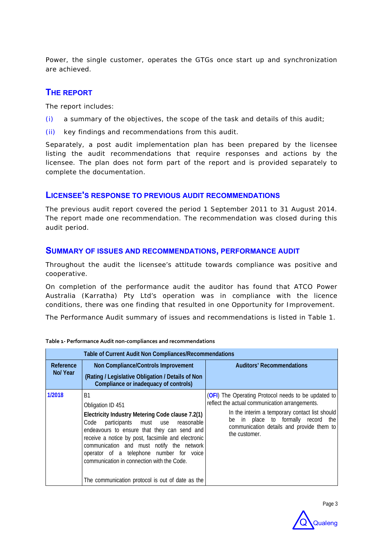Power, the single customer, operates the GTGs once start up and synchronization are achieved.

### **THE REPORT**

The report includes:

- (i) a summary of the objectives, the scope of the task and details of this audit;
- (ii) key findings and recommendations from this audit.

Separately, a post audit implementation plan has been prepared by the licensee listing the audit recommendations that require responses and actions by the licensee. The plan does not form part of the report and is provided separately to complete the documentation.

### **LICENSEE'S RESPONSE TO PREVIOUS AUDIT RECOMMENDATIONS**

The previous audit report covered the period 1 September 2011 to 31 August 2014. The report made one recommendation. The recommendation was closed during this audit period.

### **SUMMARY OF ISSUES AND RECOMMENDATIONS, PERFORMANCE AUDIT**

Throughout the audit the licensee's attitude towards compliance was positive and cooperative.

On completion of the performance audit the auditor has found that ATCO Power Australia (Karratha) Pty Ltd's operation was in compliance with the licence conditions, there was one finding that resulted in one Opportunity for Improvement.

The Performance Audit summary of issues and recommendations is listed in Table 1.

|                      | Table of Current Audit Non Compliances/Recommendations                                                                                                                                                                                                                                                                                                                                                                          |                                                                                                                                                                                                                                                                    |
|----------------------|---------------------------------------------------------------------------------------------------------------------------------------------------------------------------------------------------------------------------------------------------------------------------------------------------------------------------------------------------------------------------------------------------------------------------------|--------------------------------------------------------------------------------------------------------------------------------------------------------------------------------------------------------------------------------------------------------------------|
| Reference<br>No/Year | Non Compliance/Controls Improvement<br>(Rating / Legislative Obligation / Details of Non<br>Compliance or inadequacy of controls)                                                                                                                                                                                                                                                                                               | <b>Auditors' Recommendations</b>                                                                                                                                                                                                                                   |
| 1/2018               | <sub>R1</sub><br>Obligation ID 451<br>Electricity Industry Metering Code clause 7.2(1)<br>Code participants must use reasonable<br>endeavours to ensure that they can send and<br>receive a notice by post, facsimile and electronic<br>communication and must notify the network<br>operator of a telephone number for voice<br>communication in connection with the Code.<br>The communication protocol is out of date as the | <b>(OFI)</b> The Operating Protocol needs to be updated to<br>reflect the actual communication arrangements.<br>In the interim a temporary contact list should<br>be in place to formally record the<br>communication details and provide them to<br>the customer. |

#### **Table 1‐ Performance Audit non‐compliances and recommendations**

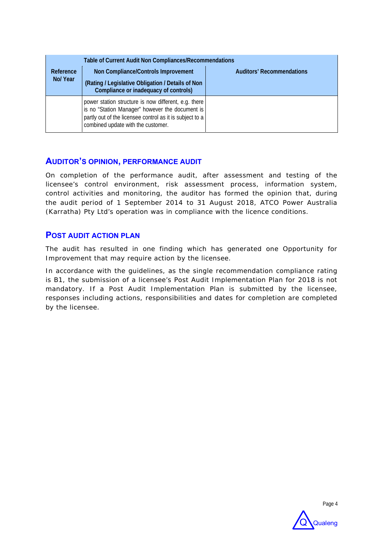|                      | Table of Current Audit Non Compliances/Recommendations                                                                                                                                                    |                                  |
|----------------------|-----------------------------------------------------------------------------------------------------------------------------------------------------------------------------------------------------------|----------------------------------|
| Reference<br>No/Year | Non Compliance/Controls Improvement<br>(Rating / Legislative Obligation / Details of Non<br>Compliance or inadequacy of controls)                                                                         | <b>Auditors' Recommendations</b> |
|                      | power station structure is now different, e.g. there<br>is no "Station Manager" however the document is<br>partly out of the licensee control as it is subject to a<br>combined update with the customer. |                                  |

### **AUDITOR'S OPINION, PERFORMANCE AUDIT**

On completion of the performance audit, after assessment and testing of the licensee's control environment, risk assessment process, information system, control activities and monitoring, the auditor has formed the opinion that, during the audit period of 1 September 2014 to 31 August 2018, ATCO Power Australia (Karratha) Pty Ltd's operation was in compliance with the licence conditions.

### **POST AUDIT ACTION PLAN**

The audit has resulted in one finding which has generated one Opportunity for Improvement that may require action by the licensee.

In accordance with the guidelines, as the single recommendation compliance rating is B1, the submission of a licensee's Post Audit Implementation Plan for 2018 is not mandatory. If a Post Audit Implementation Plan is submitted by the licensee, responses including actions, responsibilities and dates for completion are completed by the licensee.



Page 4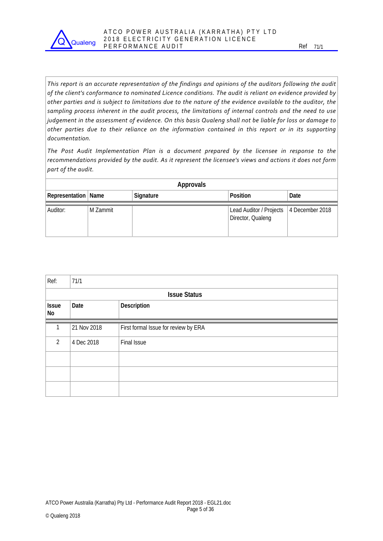

This report is an accurate representation of the findings and opinions of the auditors following the audit *of the client's conformance to nominated Licence conditions. The audit is reliant on evidence provided by* other parties and is subject to limitations due to the nature of the evidence available to the auditor, the *sampling process inherent in the audit process, the limitations of internal controls and the need to use* judgement in the assessment of evidence. On this basis Qualeng shall not be liable for loss or damage to *other parties due to their reliance on the information contained in this report or in its supporting documentation.*

*The Post Audit Implementation Plan is a document prepared by the licensee in response to the recommendations provided by the audit. As it represent the licensee's views and actions it does not form part of the audit.* 

| Approvals             |          |           |                                                                |      |  |  |  |  |  |
|-----------------------|----------|-----------|----------------------------------------------------------------|------|--|--|--|--|--|
| Representation   Name |          | Signature | Position                                                       | Date |  |  |  |  |  |
| Auditor:              | M Zammit |           | Lead Auditor / Projects   4 December 2018<br>Director, Qualeng |      |  |  |  |  |  |

| Ref:                                      | 71/1                |                                      |  |  |  |  |
|-------------------------------------------|---------------------|--------------------------------------|--|--|--|--|
|                                           | <b>Issue Status</b> |                                      |  |  |  |  |
| Description<br>Date<br><b>Issue</b><br>No |                     |                                      |  |  |  |  |
|                                           | 21 Nov 2018         | First formal Issue for review by ERA |  |  |  |  |
| $\overline{2}$                            | 4 Dec 2018          | Final Issue                          |  |  |  |  |
|                                           |                     |                                      |  |  |  |  |
|                                           |                     |                                      |  |  |  |  |
|                                           |                     |                                      |  |  |  |  |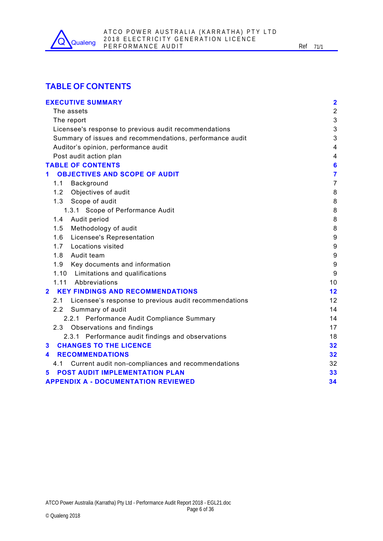

### **TABLE OF CONTENTS**

| <b>EXECUTIVE SUMMARY</b>                                     | $\overline{\mathbf{2}}$ |
|--------------------------------------------------------------|-------------------------|
| The assets                                                   | $\overline{2}$          |
| The report                                                   | 3                       |
| Licensee's response to previous audit recommendations        | 3                       |
| Summary of issues and recommendations, performance audit     | 3                       |
| Auditor's opinion, performance audit                         | 4                       |
| Post audit action plan                                       | 4                       |
| <b>TABLE OF CONTENTS</b>                                     | $6\phantom{1}6$         |
| <b>OBJECTIVES AND SCOPE OF AUDIT</b><br>1.                   | $\overline{\mathbf{7}}$ |
| 1.1<br>Background                                            | $\overline{7}$          |
| Objectives of audit<br>1.2                                   | 8                       |
| 1.3 Scope of audit                                           | 8                       |
| 1.3.1 Scope of Performance Audit                             | 8                       |
| Audit period<br>1.4                                          | 8                       |
| 1.5<br>Methodology of audit                                  | 8                       |
| Licensee's Representation<br>1.6                             | $\boldsymbol{9}$        |
| 1.7<br><b>Locations visited</b>                              | $\boldsymbol{9}$        |
| 1.8<br>Audit team                                            | 9                       |
| 1.9<br>Key documents and information                         | 9                       |
| 1.10 Limitations and qualifications                          | 9                       |
| 1.11 Abbreviations                                           | 10                      |
| <b>KEY FINDINGS AND RECOMMENDATIONS</b><br>$\overline{2}$    | 12                      |
| Licensee's response to previous audit recommendations<br>2.1 | 12                      |
| Summary of audit<br>2.2 <sub>2</sub>                         | 14                      |
| 2.2.1 Performance Audit Compliance Summary                   | 14                      |
| 2.3 Observations and findings                                | 17                      |
| 2.3.1 Performance audit findings and observations            | 18                      |
| <b>CHANGES TO THE LICENCE</b><br>3                           | 32                      |
| <b>RECOMMENDATIONS</b><br>4                                  | 32                      |
| Current audit non-compliances and recommendations<br>4.1     | 32                      |
| POST AUDIT IMPLEMENTATION PLAN<br>5                          | 33                      |
| <b>APPENDIX A - DOCUMENTATION REVIEWED</b>                   | 34                      |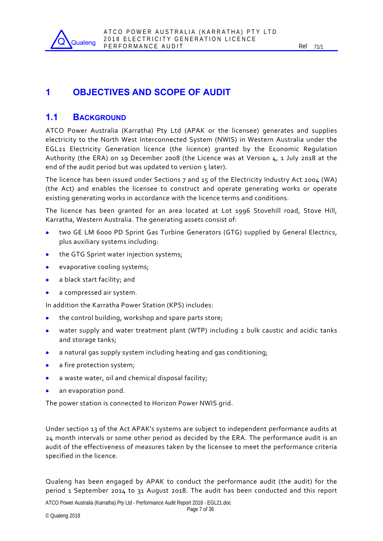

## **1 OBJECTIVES AND SCOPE OF AUDIT**

### **1.1 BACKGROUND**

ATCO Power Australia (Karratha) Pty Ltd (APAK or the licensee) generates and supplies electricity to the North West Interconnected System (NWIS) in Western Australia under the EGL21 Electricity Generation licence (the licence) granted by the Economic Regulation Authority (the ERA) on 19 December 2008 (the Licence was at Version 4, 1 July 2018 at the end of the audit period but was updated to version  $\varsigma$  later).

The licence has been issued under Sections 7 and 15 of the Electricity Industry Act 2004 (WA) (the Act) and enables the licensee to construct and operate generating works or operate existing generating works in accordance with the licence terms and conditions.

The licence has been granted for an area located at Lot 1996 Stovehill road, Stove Hill, Karratha, Western Australia. The generating assets consist of:

- two GE LM 6000 PD Sprint Gas Turbine Generators (GTG) supplied by General Electrics, plus auxiliary systems including:
- the GTG Sprint water injection systems;
- **e** evaporative cooling systems;
- a black start facility; and
- a compressed air system.

In addition the Karratha Power Station (KPS) includes:

- the control building, workshop and spare parts store;
- water supply and water treatment plant (WTP) including 2 bulk caustic and acidic tanks and storage tanks;
- a natural gas supply system including heating and gas conditioning;
- a fire protection system;
- a waste water, oil and chemical disposal facility;
- an evaporation pond.

The power station is connected to Horizon Power NWIS grid.

Under section 13 of the Act APAK's systems are subject to independent performance audits at 24 month intervals or some other period as decided by the ERA. The performance audit is an audit of the effectiveness of measures taken by the licensee to meet the performance criteria specified in the licence.

Qualeng has been engaged by APAK to conduct the performance audit (the audit) for the period 1 September 2014 to 31 August 2018. The audit has been conducted and this report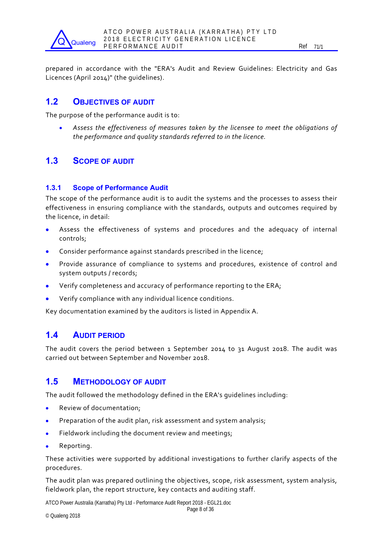prepared in accordance with the "ERA's Audit and Review Guidelines: Electricity and Gas Licences (April 2014)" (the guidelines).

### **1.2 OBJECTIVES OF AUDIT**

**Qualeng** 

The purpose of the performance audit is to:

 *Assess the effectiveness of measures taken by the licensee to meet the obligations of the performance and quality standards referred to in the licence.*

### **1.3 SCOPE OF AUDIT**

### **1.3.1 Scope of Performance Audit**

The scope of the performance audit is to audit the systems and the processes to assess their effectiveness in ensuring compliance with the standards, outputs and outcomes required by the licence, in detail:

- Assess the effectiveness of systems and procedures and the adequacy of internal controls;
- Consider performance against standards prescribed in the licence;
- **Provide assurance of compliance to systems and procedures, existence of control and** system outputs / records;
- Verify completeness and accuracy of performance reporting to the ERA;
- Verify compliance with any individual licence conditions.

Key documentation examined by the auditors is listed in Appendix A.

### **1.4 AUDIT PERIOD**

The audit covers the period between 1 September 2014 to 31 August 2018. The audit was carried out between September and November 2018.

### **1.5 METHODOLOGY OF AUDIT**

The audit followed the methodology defined in the ERA's guidelines including:

- Review of documentation;
- Preparation of the audit plan, risk assessment and system analysis;
- Fieldwork including the document review and meetings;
- Reporting.

These activities were supported by additional investigations to further clarify aspects of the procedures.

The audit plan was prepared outlining the objectives, scope, risk assessment, system analysis, fieldwork plan, the report structure, key contacts and auditing staff.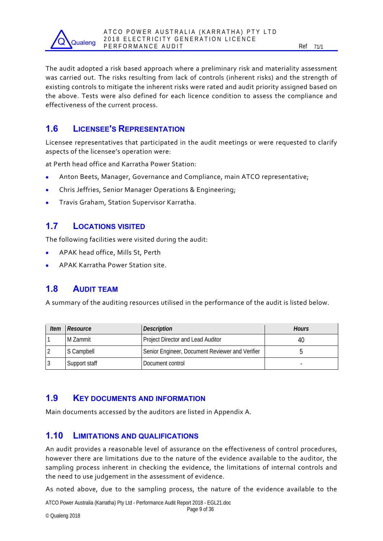

The audit adopted a risk based approach where a preliminary risk and materiality assessment was carried out. The risks resulting from lack of controls (inherent risks) and the strength of existing controls to mitigate the inherent risks were rated and audit priority assigned based on the above. Tests were also defined for each licence condition to assess the compliance and effectiveness of the current process.

### **1.6 LICENSEE'S REPRESENTATION**

Licensee representatives that participated in the audit meetings or were requested to clarify aspects of the licensee's operation were:

at Perth head office and Karratha Power Station:

- Anton Beets, Manager, Governance and Compliance, main ATCO representative;
- Chris Jeffries, Senior Manager Operations & Engineering;
- Travis Graham, Station Supervisor Karratha.

### **1.7 LOCATIONS VISITED**

The following facilities were visited during the audit:

- APAK head office, Mills St, Perth
- APAK Karratha Power Station site.

### **1.8 AUDIT TEAM**

A summary of the auditing resources utilised in the performance of the audit is listed below.

| ltem | Resource      | <b>Description</b>                              | Hours |
|------|---------------|-------------------------------------------------|-------|
|      | l M Zammit    | Project Director and Lead Auditor               | 40    |
|      | S Campbell    | Senior Engineer, Document Reviewer and Verifier |       |
|      | Support staff | Document control                                | -     |

### **1.9 KEY DOCUMENTS AND INFORMATION**

Main documents accessed by the auditors are listed in Appendix A.

### **1.10 LIMITATIONS AND QUALIFICATIONS**

An audit provides a reasonable level of assurance on the effectiveness of control procedures, however there are limitations due to the nature of the evidence available to the auditor, the sampling process inherent in checking the evidence, the limitations of internal controls and the need to use judgement in the assessment of evidence.

As noted above, due to the sampling process, the nature of the evidence available to the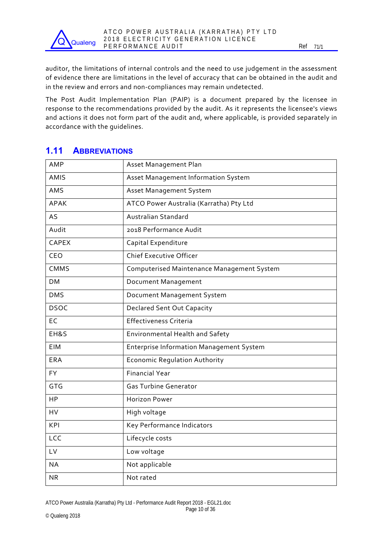auditor, the limitations of internal controls and the need to use judgement in the assessment of evidence there are limitations in the level of accuracy that can be obtained in the audit and in the review and errors and non‐compliances may remain undetected.

The Post Audit Implementation Plan (PAIP) is a document prepared by the licensee in response to the recommendations provided by the audit. As it represents the licensee's views and actions it does not form part of the audit and, where applicable, is provided separately in accordance with the guidelines.

### **1.11 ABBREVIATIONS**

**Qualeng** 

| AMP          | Asset Management Plan                           |
|--------------|-------------------------------------------------|
| <b>AMIS</b>  | Asset Management Information System             |
| AMS          | Asset Management System                         |
| <b>APAK</b>  | ATCO Power Australia (Karratha) Pty Ltd         |
| AS           | Australian Standard                             |
| Audit        | 2018 Performance Audit                          |
| <b>CAPEX</b> | Capital Expenditure                             |
| CEO          | <b>Chief Executive Officer</b>                  |
| CMMS         | Computerised Maintenance Management System      |
| <b>DM</b>    | Document Management                             |
| <b>DMS</b>   | Document Management System                      |
| <b>DSOC</b>  | <b>Declared Sent Out Capacity</b>               |
| EC           | <b>Effectiveness Criteria</b>                   |
| EH&S         | Environmental Health and Safety                 |
| <b>EIM</b>   | <b>Enterprise Information Management System</b> |
| <b>ERA</b>   | <b>Economic Regulation Authority</b>            |
| <b>FY</b>    | <b>Financial Year</b>                           |
| <b>GTG</b>   | <b>Gas Turbine Generator</b>                    |
| <b>HP</b>    | <b>Horizon Power</b>                            |
| HV           | High voltage                                    |
| KPI          | Key Performance Indicators                      |
| LCC          | Lifecycle costs                                 |
| LV           | Low voltage                                     |
| <b>NA</b>    | Not applicable                                  |
| <b>NR</b>    | Not rated                                       |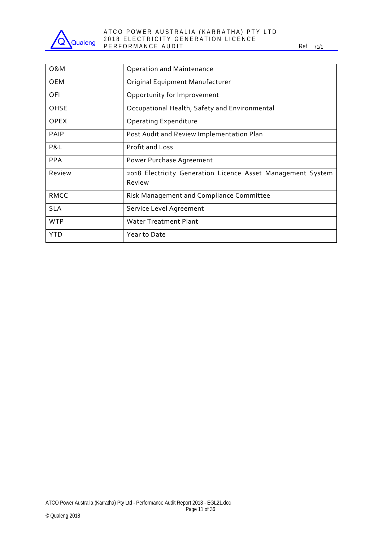

#### ATCO POWER AUSTRALIA (KARRATHA) PTY LTD 2018 ELECTRICITY GENERATION LICENCE P E R F O R M A N C E A U D I T REFORMANCE A U D I T REF 71/1

| 0&M         | <b>Operation and Maintenance</b>                                      |
|-------------|-----------------------------------------------------------------------|
| <b>OEM</b>  | Original Equipment Manufacturer                                       |
| OFI         | Opportunity for Improvement                                           |
| OHSE        | Occupational Health, Safety and Environmental                         |
| <b>OPEX</b> | <b>Operating Expenditure</b>                                          |
| <b>PAIP</b> | Post Audit and Review Implementation Plan                             |
| P&L         | <b>Profit and Loss</b>                                                |
| <b>PPA</b>  | Power Purchase Agreement                                              |
| Review      | 2018 Electricity Generation Licence Asset Management System<br>Review |
| <b>RMCC</b> | Risk Management and Compliance Committee                              |
| <b>SLA</b>  | Service Level Agreement                                               |
| <b>WTP</b>  | <b>Water Treatment Plant</b>                                          |
| YTD         | Year to Date                                                          |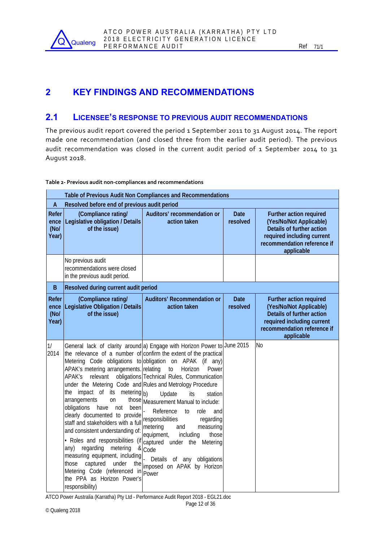

### **2 KEY FINDINGS AND RECOMMENDATIONS**

### **2.1 LICENSEE'S RESPONSE TO PREVIOUS AUDIT RECOMMENDATIONS**

The previous audit report covered the period 1 September 2011 to 31 August 2014. The report made one recommendation (and closed three from the earlier audit period). The previous audit recommendation was closed in the current audit period of 1 September 2014 to 31 August 2018.

|                                 | Table of Previous Audit Non Compliances and Recommendations                                                                                                                                                                                                                                                                                                                                                                                                                                                                                                  |                                                                                                                                                                                                                                                                                                                                                                                                                                                                                                                                                                                                                                   |                         |                                                                                                                                                            |  |  |  |  |
|---------------------------------|--------------------------------------------------------------------------------------------------------------------------------------------------------------------------------------------------------------------------------------------------------------------------------------------------------------------------------------------------------------------------------------------------------------------------------------------------------------------------------------------------------------------------------------------------------------|-----------------------------------------------------------------------------------------------------------------------------------------------------------------------------------------------------------------------------------------------------------------------------------------------------------------------------------------------------------------------------------------------------------------------------------------------------------------------------------------------------------------------------------------------------------------------------------------------------------------------------------|-------------------------|------------------------------------------------------------------------------------------------------------------------------------------------------------|--|--|--|--|
| A                               | Resolved before end of previous audit period                                                                                                                                                                                                                                                                                                                                                                                                                                                                                                                 |                                                                                                                                                                                                                                                                                                                                                                                                                                                                                                                                                                                                                                   |                         |                                                                                                                                                            |  |  |  |  |
| Refer<br>ence<br>(Nol)<br>Year) | (Compliance rating/<br>Legislative obligation / Details<br>of the issue)                                                                                                                                                                                                                                                                                                                                                                                                                                                                                     | Auditors' recommendation or<br>action taken                                                                                                                                                                                                                                                                                                                                                                                                                                                                                                                                                                                       | <b>Date</b><br>resolved | Further action required<br>(Yes/No/Not Applicable)<br>Details of further action<br>required including current<br>recommendation reference if<br>applicable |  |  |  |  |
|                                 | No previous audit<br>recommendations were closed<br>in the previous audit period.                                                                                                                                                                                                                                                                                                                                                                                                                                                                            |                                                                                                                                                                                                                                                                                                                                                                                                                                                                                                                                                                                                                                   |                         |                                                                                                                                                            |  |  |  |  |
| B                               | Resolved during current audit period                                                                                                                                                                                                                                                                                                                                                                                                                                                                                                                         |                                                                                                                                                                                                                                                                                                                                                                                                                                                                                                                                                                                                                                   |                         |                                                                                                                                                            |  |  |  |  |
| Refer<br>ence<br>(No/<br>Year)  | (Compliance rating/<br>Legislative Obligation / Details<br>of the issue)                                                                                                                                                                                                                                                                                                                                                                                                                                                                                     | <b>Auditors' Recommendation or</b><br>action taken                                                                                                                                                                                                                                                                                                                                                                                                                                                                                                                                                                                | <b>Date</b><br>resolved | Further action required<br>(Yes/No/Not Applicable)<br>Details of further action<br>required including current<br>recommendation reference if<br>applicable |  |  |  |  |
| 1/<br>2014                      | APAK's metering arrangements. relating<br>APAK's<br>under the Metering Code and Rules and Metrology Procedure<br>the impact of its<br>metering b)<br>arrangements<br><b>on</b><br>obligations<br>have<br>not<br>been<br>clearly documented to provide<br>staff and stakeholders with a full<br>and consistent understanding of:<br>· Roles and responsibilities (if<br>regarding<br>metering<br>any)<br>measuring equipment, including<br>captured<br>under<br>those<br>the<br>Metering Code (referenced in<br>the PPA as Horizon Power's<br>responsibility) | General lack of clarity around a) Engage with Horizon Power to June 2015<br>the relevance of a number of confirm the extent of the practical<br>Metering Code obligations to obligation on APAK (if any)<br>$\mathfrak{g}$<br>Horizon<br>Power<br>relevant obligations Technical Rules, Communication<br>Update<br>its<br>station<br>those Measurement Manual to include:<br>Reference<br>role<br>to<br>and<br>responsibilities<br>regarding<br>metering<br>measuring<br>and<br>including<br>equipment,<br>those<br>captured under the Metering<br>& Code<br>Details of any<br>obligations<br>imposed on APAK by Horizon<br>Power |                         | <b>No</b>                                                                                                                                                  |  |  |  |  |

#### **Table 2‐ Previous audit non‐compliances and recommendations**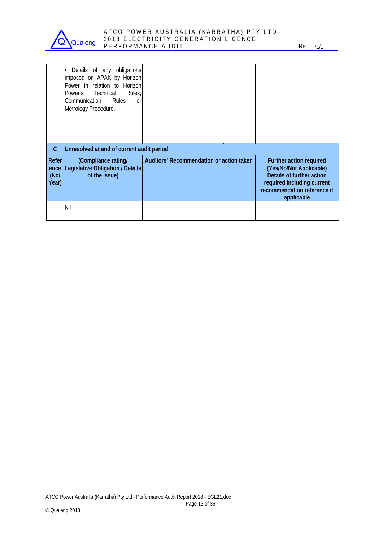

#### ATCO POWER AUSTRALIA (KARRATHA) PTY LTD 2018 ELECTRICITY GENERATION LICENCE P E R F O R M A N C E A U D I T REF O R M A N C E A U D I T

|                                 | Details of any obligations<br>imposed on APAK by Horizon<br>Power in relation to Horizon<br>Power's Technical<br>Rules.<br>Rules<br>Communication<br><sub>0</sub> r<br>Metrology Procedure. |                                          |                                                                                                                                                            |
|---------------------------------|---------------------------------------------------------------------------------------------------------------------------------------------------------------------------------------------|------------------------------------------|------------------------------------------------------------------------------------------------------------------------------------------------------------|
| C                               | Unresolved at end of current audit period                                                                                                                                                   |                                          |                                                                                                                                                            |
| Refer<br>ence<br>(Nol)<br>Year) | (Compliance rating/<br>Legislative Obligation / Details<br>of the issue)                                                                                                                    | Auditors' Recommendation or action taken | Further action required<br>(Yes/No/Not Applicable)<br>Details of further action<br>required including current<br>recommendation reference if<br>applicable |
|                                 | Nil                                                                                                                                                                                         |                                          |                                                                                                                                                            |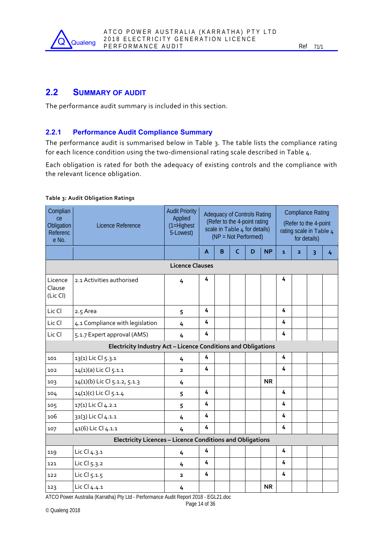

### **2.2 SUMMARY OF AUDIT**

The performance audit summary is included in this section.

### **2.2.1 Performance Audit Compliance Summary**

The performance audit is summarised below in Table 3. The table lists the compliance rating for each licence condition using the two-dimensional rating scale described in Table 4.

Each obligation is rated for both the adequacy of existing controls and the compliance with the relevant licence obligation.

| Complian<br>ce<br>Obligation<br>Referenc<br>e No. | Licence Reference                                             | <b>Audit Priority</b><br>Applied<br>$(1=Highest$<br>5-Lowest) | <b>Adequacy of Controls Rating</b><br>(Refer to the 4-point rating<br>scale in Table 4 for details)<br>(NP = Not Performed) |   |            |   |           | <b>Compliance Rating</b><br>(Refer to the 4-point<br>rating scale in Table 4<br>for details) |                |   |   |
|---------------------------------------------------|---------------------------------------------------------------|---------------------------------------------------------------|-----------------------------------------------------------------------------------------------------------------------------|---|------------|---|-----------|----------------------------------------------------------------------------------------------|----------------|---|---|
|                                                   |                                                               |                                                               | A                                                                                                                           | B | $\epsilon$ | D | <b>NP</b> | $\mathbf{1}$                                                                                 | $\overline{2}$ | 3 | 4 |
|                                                   | <b>Licence Clauses</b>                                        |                                                               |                                                                                                                             |   |            |   |           |                                                                                              |                |   |   |
| Licence<br>Clause<br>(Lic Cl)                     | 2.1 Activities authorised                                     | 4                                                             | 4                                                                                                                           |   |            |   |           | 4                                                                                            |                |   |   |
| Lic Cl                                            | 2.5 Area                                                      | 5                                                             | 4                                                                                                                           |   |            |   |           | 4                                                                                            |                |   |   |
| Lic Cl                                            | 4.1 Compliance with legislation                               | 4                                                             | 4                                                                                                                           |   |            |   |           | 4                                                                                            |                |   |   |
| Lic Cl                                            | 5.1.7 Expert approval (AMS)                                   | 4                                                             | 4                                                                                                                           |   |            |   |           | 4                                                                                            |                |   |   |
|                                                   | Electricity Industry Act - Licence Conditions and Obligations |                                                               |                                                                                                                             |   |            |   |           |                                                                                              |                |   |   |
| 101                                               | 13(1) Lic Cl 5.3.1                                            | 4                                                             | 4                                                                                                                           |   |            |   |           | 4                                                                                            |                |   |   |
| 102                                               | 14(1)(a) Lic Cl 5.1.1                                         | $\overline{2}$                                                | 4                                                                                                                           |   |            |   |           | 4                                                                                            |                |   |   |
| 103                                               | 14(1)(b) Lic Cl 5.1.2, 5.1.3                                  | 4                                                             |                                                                                                                             |   |            |   | <b>NR</b> |                                                                                              |                |   |   |
| 104                                               | 14(1)(c) Lic Cl 5.1.4                                         | 5                                                             | $\overline{4}$                                                                                                              |   |            |   |           | 4                                                                                            |                |   |   |
| 105                                               | 17(1) Lic Cl 4.2.1                                            | 5                                                             | 4                                                                                                                           |   |            |   |           | 4                                                                                            |                |   |   |
| 106                                               | 31(3) Lic Cl 4.1.1                                            | 4                                                             | 4                                                                                                                           |   |            |   |           | 4                                                                                            |                |   |   |
| 107                                               | 41(6) Lic Cl 4.1.1                                            | 4                                                             | 4                                                                                                                           |   |            |   |           | 4                                                                                            |                |   |   |
|                                                   | Electricity Licences - Licence Conditions and Obligations     |                                                               |                                                                                                                             |   |            |   |           |                                                                                              |                |   |   |
| 119                                               | Lic Cl 4.3.1                                                  | 4                                                             | 4                                                                                                                           |   |            |   |           | 4                                                                                            |                |   |   |
| 121                                               | Lic Cl 5.3.2                                                  | 4                                                             | 4                                                                                                                           |   |            |   |           | 4                                                                                            |                |   |   |
| 122                                               | Lic Cl 5.1.5                                                  | $\overline{2}$                                                | 4                                                                                                                           |   |            |   |           | 4                                                                                            |                |   |   |
| 123                                               | Lic Cl 4.4.1                                                  | 4                                                             |                                                                                                                             |   |            |   | <b>NR</b> |                                                                                              |                |   |   |

#### **Table 3: Audit Obligation Ratings**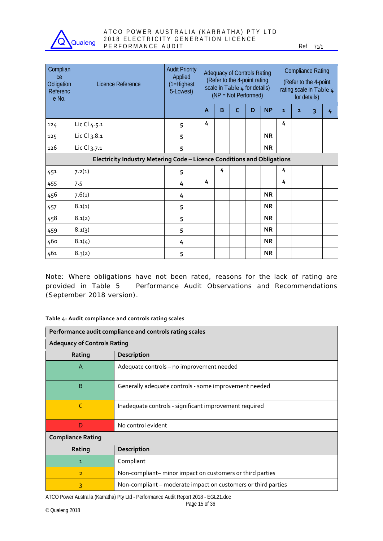

| Complian<br>ce<br>Obligation<br>Referenc<br>e No. | Licence Reference                                                       | <b>Audit Priority</b><br>Applied<br>$(1=Highest$<br>5-Lowest) | <b>Adequacy of Controls Rating</b><br>(Refer to the 4-point rating<br>scale in Table 4 for details)<br>(NP = Not Performed) |   |   |   | <b>Compliance Rating</b><br>(Refer to the 4-point<br>rating scale in Table 4<br>for details) |   |                |   |   |
|---------------------------------------------------|-------------------------------------------------------------------------|---------------------------------------------------------------|-----------------------------------------------------------------------------------------------------------------------------|---|---|---|----------------------------------------------------------------------------------------------|---|----------------|---|---|
|                                                   |                                                                         |                                                               | A                                                                                                                           | B | C | D | <b>NP</b>                                                                                    | 1 | $\overline{2}$ | 3 | 4 |
| 124                                               | Lic Cl 4.5.1                                                            | 5                                                             | 4                                                                                                                           |   |   |   |                                                                                              | 4 |                |   |   |
| 125                                               | Lic Cl 3.8.1                                                            | 5                                                             |                                                                                                                             |   |   |   | <b>NR</b>                                                                                    |   |                |   |   |
| 126                                               | Lic Cl 3.7.1                                                            | 5                                                             |                                                                                                                             |   |   |   | <b>NR</b>                                                                                    |   |                |   |   |
|                                                   | Electricity Industry Metering Code - Licence Conditions and Obligations |                                                               |                                                                                                                             |   |   |   |                                                                                              |   |                |   |   |
| 451                                               | 7.2(1)                                                                  | 5                                                             |                                                                                                                             | 4 |   |   |                                                                                              | 4 |                |   |   |
| 455                                               | 7.5                                                                     | 4                                                             | 4                                                                                                                           |   |   |   |                                                                                              | 4 |                |   |   |
| 456                                               | 7.6(1)                                                                  | 4                                                             |                                                                                                                             |   |   |   | <b>NR</b>                                                                                    |   |                |   |   |
| 457                                               | 8.1(1)                                                                  | 5                                                             |                                                                                                                             |   |   |   | <b>NR</b>                                                                                    |   |                |   |   |
| 458                                               | 8.1(2)                                                                  | 5                                                             |                                                                                                                             |   |   |   | <b>NR</b>                                                                                    |   |                |   |   |
| 459                                               | 8.1(3)                                                                  | 5                                                             |                                                                                                                             |   |   |   | <b>NR</b>                                                                                    |   |                |   |   |
| 460                                               | 8.1(4)                                                                  | 4                                                             |                                                                                                                             |   |   |   | <b>NR</b>                                                                                    |   |                |   |   |
| 461                                               | 8.3(2)                                                                  | 5                                                             |                                                                                                                             |   |   |   | <b>NR</b>                                                                                    |   |                |   |   |

Note: Where obligations have not been rated, reasons for the lack of rating are provided in Table 5 Performance Audit Observations and Recommendations (September 2018 version).

#### **Table 4: Audit compliance and controls rating scales**

|                                                                            | Performance audit compliance and controls rating scales       |  |  |  |  |  |  |  |  |
|----------------------------------------------------------------------------|---------------------------------------------------------------|--|--|--|--|--|--|--|--|
|                                                                            | <b>Adequacy of Controls Rating</b>                            |  |  |  |  |  |  |  |  |
| Rating<br><b>Description</b>                                               |                                                               |  |  |  |  |  |  |  |  |
| A                                                                          | Adequate controls - no improvement needed                     |  |  |  |  |  |  |  |  |
| B                                                                          | Generally adequate controls - some improvement needed         |  |  |  |  |  |  |  |  |
| C                                                                          | Inadequate controls - significant improvement required        |  |  |  |  |  |  |  |  |
| D                                                                          | No control evident                                            |  |  |  |  |  |  |  |  |
| <b>Compliance Rating</b>                                                   |                                                               |  |  |  |  |  |  |  |  |
| Rating                                                                     | Description                                                   |  |  |  |  |  |  |  |  |
| 1                                                                          | Compliant                                                     |  |  |  |  |  |  |  |  |
| Non-compliant-minor impact on customers or third parties<br>$\overline{2}$ |                                                               |  |  |  |  |  |  |  |  |
| 3                                                                          | Non-compliant – moderate impact on customers or third parties |  |  |  |  |  |  |  |  |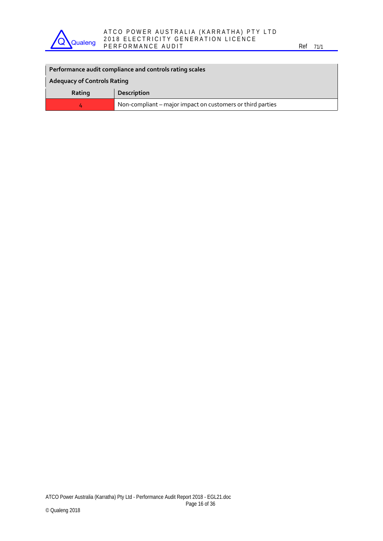

#### ATCO POWER AUSTRALIA (KARRATHA) PTY LTD 2018 ELECTRICITY GENERATION LICENCE P E R F O R M A N C E A U D I T REF O R M A N C E A U D I T

| Performance audit compliance and controls rating scales         |             |  |  |  |  |  |
|-----------------------------------------------------------------|-------------|--|--|--|--|--|
| <b>Adequacy of Controls Rating</b>                              |             |  |  |  |  |  |
| Rating                                                          | Description |  |  |  |  |  |
| Non-compliant – major impact on customers or third parties<br>4 |             |  |  |  |  |  |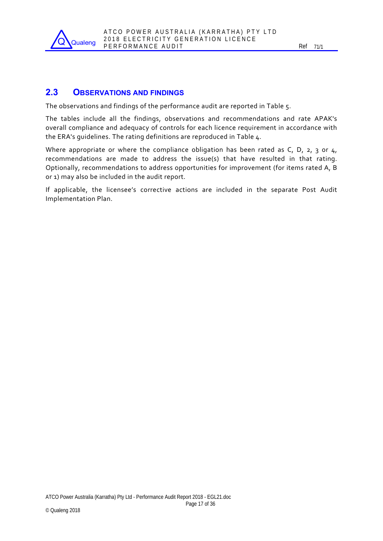

### **2.3 OBSERVATIONS AND FINDINGS**

The observations and findings of the performance audit are reported in Table 5.

The tables include all the findings, observations and recommendations and rate APAK's overall compliance and adequacy of controls for each licence requirement in accordance with the ERA's guidelines. The rating definitions are reproduced in Table 4.

Where appropriate or where the compliance obligation has been rated as C, D, 2, 3 or 4, recommendations are made to address the issue(s) that have resulted in that rating. Optionally, recommendations to address opportunities for improvement (for items rated A, B or 1) may also be included in the audit report.

If applicable, the licensee's corrective actions are included in the separate Post Audit Implementation Plan.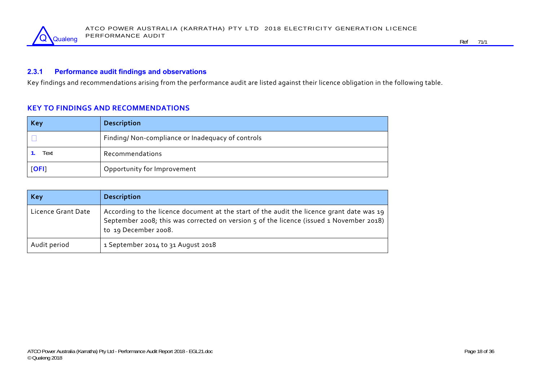

### **2.3.1 Performance audit findings and observations**

Key findings and recommendations arising from the performance audit are listed against their licence obligation in the following table.

### **KEY TO FINDINGS AND RECOMMENDATIONS**

| Key  | <b>Description</b>                               |
|------|--------------------------------------------------|
|      | Finding/Non-compliance or Inadequacy of controls |
| Text | Recommendations                                  |
| [OF] | Opportunity for Improvement                      |

| <b>Key</b>         | <b>Description</b>                                                                                                                                                                                           |
|--------------------|--------------------------------------------------------------------------------------------------------------------------------------------------------------------------------------------------------------|
| Licence Grant Date | According to the licence document at the start of the audit the licence grant date was 19<br>September 2008; this was corrected on version 5 of the licence (issued 1 November 2018)<br>to 19 December 2008. |
| Audit period       | 1 September 2014 to 31 August 2018                                                                                                                                                                           |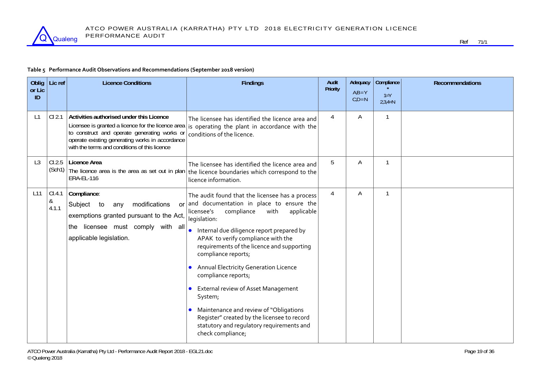

#### **Table 5 Performance Audit Observations and Recommendations (September 2018 version)**

| Oblig        | Lic ref              | <b>Licence Conditions</b>                                                                                                                                                                                                                          | <b>Findings</b>                                                                                                                                                                                                                                                                                                                                                                                                                                                                                                                                                                                         | Audit    | Adequacy               | <b>Compliance</b>    | <b>Recommendations</b> |
|--------------|----------------------|----------------------------------------------------------------------------------------------------------------------------------------------------------------------------------------------------------------------------------------------------|---------------------------------------------------------------------------------------------------------------------------------------------------------------------------------------------------------------------------------------------------------------------------------------------------------------------------------------------------------------------------------------------------------------------------------------------------------------------------------------------------------------------------------------------------------------------------------------------------------|----------|------------------------|----------------------|------------------------|
| or Lic<br>ID |                      |                                                                                                                                                                                                                                                    |                                                                                                                                                                                                                                                                                                                                                                                                                                                                                                                                                                                                         | Priority | $A,B = Y$<br>$C,D = N$ | $1 = Y$<br>$2,3,4=N$ |                        |
| L1           | CI 2.1               | Activities authorised under this Licence<br>Licensee is granted a licence for the licence area<br>to construct and operate generating works or<br>operate existing generating works in accordance<br>with the terms and conditions of this licence | The licensee has identified the licence area and<br>is operating the plant in accordance with the<br>conditions of the licence.                                                                                                                                                                                                                                                                                                                                                                                                                                                                         | 4        | A                      |                      |                        |
| L3           | CL2.5                | Licence Area<br><b>ERA-EL-116</b>                                                                                                                                                                                                                  | The licensee has identified the licence area and<br>(Sch1) The licence area is the area as set out in plan the licence boundaries which correspond to the<br>licence information.                                                                                                                                                                                                                                                                                                                                                                                                                       | 5        | A                      | 1                    |                        |
| L11          | CI.4.1<br>&<br>4.1.1 | Compliance:<br>modifications<br>Subject to<br>any<br>exemptions granted pursuant to the Act,<br>the licensee must comply with all<br>applicable legislation.                                                                                       | The audit found that the licensee has a process<br>$or$ and documentation in place to ensure the<br>compliance<br>licensee's<br>with<br>applicable<br>legislation:<br>Internal due diligence report prepared by<br>APAK to verify compliance with the<br>requirements of the licence and supporting<br>compliance reports;<br>Annual Electricity Generation Licence<br>compliance reports;<br>External review of Asset Management<br>System;<br>Maintenance and review of "Obligations<br>Register" created by the licensee to record<br>statutory and regulatory requirements and<br>check compliance; | 4        | Α                      | $\mathbf{1}$         |                        |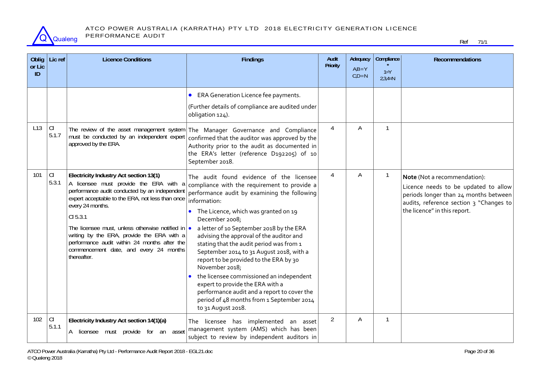

| Oblig<br>or Lic | Lic ref      | <b>Licence Conditions</b>                                                                                                                                                                                                                                                                                                                                                                                                                 | <b>Findings</b>                                                                                                                                                                                                                                                                                                                                                                                                                                                                                                                                                                                                                                                  | Audit<br>Priority | Adequacy<br>$A,B = Y$ | Compliance           | Recommendations                                                                                                                                                                          |
|-----------------|--------------|-------------------------------------------------------------------------------------------------------------------------------------------------------------------------------------------------------------------------------------------------------------------------------------------------------------------------------------------------------------------------------------------------------------------------------------------|------------------------------------------------------------------------------------------------------------------------------------------------------------------------------------------------------------------------------------------------------------------------------------------------------------------------------------------------------------------------------------------------------------------------------------------------------------------------------------------------------------------------------------------------------------------------------------------------------------------------------------------------------------------|-------------------|-----------------------|----------------------|------------------------------------------------------------------------------------------------------------------------------------------------------------------------------------------|
| ID              |              |                                                                                                                                                                                                                                                                                                                                                                                                                                           |                                                                                                                                                                                                                                                                                                                                                                                                                                                                                                                                                                                                                                                                  |                   | $C,D = N$             | $1 = Y$<br>$2,3,4=N$ |                                                                                                                                                                                          |
|                 |              |                                                                                                                                                                                                                                                                                                                                                                                                                                           | ERA Generation Licence fee payments.<br>(Further details of compliance are audited under<br>obligation 124).                                                                                                                                                                                                                                                                                                                                                                                                                                                                                                                                                     |                   |                       |                      |                                                                                                                                                                                          |
| L13             | lcı<br>5.1.7 | must be conducted by an independent expert<br>approved by the ERA.                                                                                                                                                                                                                                                                                                                                                                        | The review of the asset management system   The Manager Governance and Compliance<br>confirmed that the auditor was approved by the<br>Authority prior to the audit as documented in<br>the ERA's letter (reference D192205) of 10<br>September 2018.                                                                                                                                                                                                                                                                                                                                                                                                            | $\overline{4}$    | Α                     | $\mathbf{1}$         |                                                                                                                                                                                          |
| 101             | CI<br>5.3.1  | Electricity Industry Act section 13(1)<br>A licensee must provide the ERA with a<br>performance audit conducted by an independent<br>expert acceptable to the ERA, not less than once<br>every 24 months.<br>CI 5.3.1<br>The licensee must, unless otherwise notified in $\bullet$<br>writing by the ERA, provide the ERA with a<br>performance audit within 24 months after the<br>commencement date, and every 24 months<br>thereafter. | The audit found evidence of the licensee<br>compliance with the requirement to provide a<br>performance audit by examining the following<br>information:<br>The Licence, which was granted on 19<br>December 2008;<br>a letter of 10 September 2018 by the ERA<br>advising the approval of the auditor and<br>stating that the audit period was from 1<br>September 2014 to 31 August 2018, with a<br>report to be provided to the ERA by 30<br>November 2018;<br>the licensee commissioned an independent<br>expert to provide the ERA with a<br>performance audit and a report to cover the<br>period of 48 months from 1 September 2014<br>to 31 August 2018. | 4                 | Α                     | $\mathbf{1}$         | Note (Not a recommendation):<br>Licence needs to be updated to allow<br>periods longer than 24 months between<br>audits, reference section 3 "Changes to<br>the licence" in this report. |
| 102             | CI<br>5.1.1  | Electricity Industry Act section 14(1)(a)<br>A licensee must provide for an asset                                                                                                                                                                                                                                                                                                                                                         | licensee has implemented an asset<br>The<br>management system (AMS) which has been<br>subject to review by independent auditors in                                                                                                                                                                                                                                                                                                                                                                                                                                                                                                                               | $\overline{2}$    | Α                     | $\mathbf{1}$         |                                                                                                                                                                                          |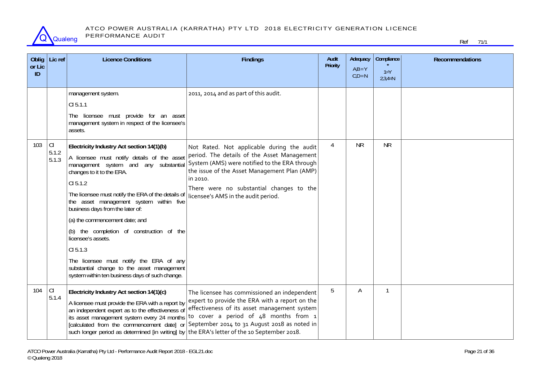

#### ATCO POWER AUSTRALIA (KARRATHA) PTY LTD 2018 ELECTRICITY GENERATION LICENCE PERFORMANCE AUDIT

| <b>Oblig</b><br>or Lic<br>ID | Lic ref                | <b>Licence Conditions</b>                                                                                                                                                                                                                                                                                                                                                                                                                                                                                                                                                                                                                                                                                             | <b>Findings</b>                                                                                                                                                                                                                                                                                                                    | Audit<br>Priority | Adequacy<br>$A,B = Y$<br>$CiD = N$ | Compliance<br>$1 = Y$<br>$2,3,4=N$ | <b>Recommendations</b> |
|------------------------------|------------------------|-----------------------------------------------------------------------------------------------------------------------------------------------------------------------------------------------------------------------------------------------------------------------------------------------------------------------------------------------------------------------------------------------------------------------------------------------------------------------------------------------------------------------------------------------------------------------------------------------------------------------------------------------------------------------------------------------------------------------|------------------------------------------------------------------------------------------------------------------------------------------------------------------------------------------------------------------------------------------------------------------------------------------------------------------------------------|-------------------|------------------------------------|------------------------------------|------------------------|
| 103                          | lcı.<br>5.1.2<br>5.1.3 | management system.<br>CI 5.1.1<br>The licensee must provide for an asset<br>management system in respect of the licensee's<br>assets.<br>Electricity Industry Act section 14(1)(b)<br>A licensee must notify details of the asset<br>management system and any substantial<br>changes to it to the ERA.<br>CI 5.1.2<br>The licensee must notify the ERA of the details of<br>the asset management system within five<br>business days from the later of:<br>(a) the commencement date; and<br>(b) the completion of construction of the<br>licensee's assets.<br>CI 5.1.3<br>The licensee must notify the ERA of any<br>substantial change to the asset management<br>system within ten business days of such change. | 2011, 2014 and as part of this audit.<br>Not Rated. Not applicable during the audit<br>period. The details of the Asset Management<br>System (AMS) were notified to the ERA through<br>the issue of the Asset Management Plan (AMP)<br>in 2010.<br>There were no substantial changes to the<br>licensee's AMS in the audit period. | $\overline{4}$    | <b>NR</b>                          | <b>NR</b>                          |                        |
| 104                          | CI<br>5.1.4            | Electricity Industry Act section 14(1)(c)<br>A licensee must provide the ERA with a report by<br>an independent expert as to the effectiveness of<br>its asset management system every 24 months<br>[calculated from the commencement date] or<br>such longer period as determined [in writing] by the ERA's letter of the 10 September 2018.                                                                                                                                                                                                                                                                                                                                                                         | The licensee has commissioned an independent<br>expert to provide the ERA with a report on the<br>effectiveness of its asset management system<br>to cover a period of 48 months from 1<br>September 2014 to 31 August 2018 as noted in                                                                                            | 5                 | Α                                  | $\mathbf{1}$                       |                        |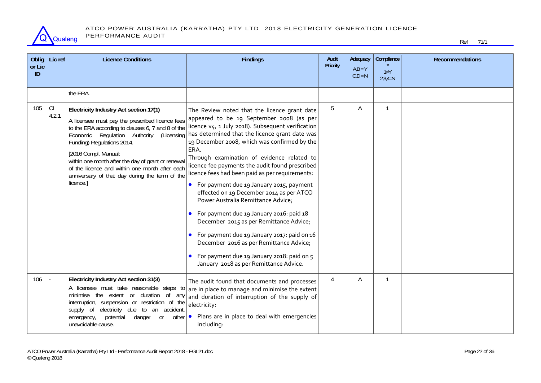

| Oblig<br>or Lic<br>ID | Lic ref     | <b>Licence Conditions</b>                                                                                                                                                                                                                                                                                                                                                                                               | <b>Findings</b>                                                                                                                                                                                                                                                                                                                                                                                                                                                                                                                                                                                                                                                                                                                                                                                                                   | Audit<br>Priority | Adequacy<br>$AiB = Y$<br>$C.D = N$ | Compliance<br>$1 = Y$<br>$2,3,4=N$ | <b>Recommendations</b> |
|-----------------------|-------------|-------------------------------------------------------------------------------------------------------------------------------------------------------------------------------------------------------------------------------------------------------------------------------------------------------------------------------------------------------------------------------------------------------------------------|-----------------------------------------------------------------------------------------------------------------------------------------------------------------------------------------------------------------------------------------------------------------------------------------------------------------------------------------------------------------------------------------------------------------------------------------------------------------------------------------------------------------------------------------------------------------------------------------------------------------------------------------------------------------------------------------------------------------------------------------------------------------------------------------------------------------------------------|-------------------|------------------------------------|------------------------------------|------------------------|
|                       |             | the ERA.                                                                                                                                                                                                                                                                                                                                                                                                                |                                                                                                                                                                                                                                                                                                                                                                                                                                                                                                                                                                                                                                                                                                                                                                                                                                   |                   |                                    |                                    |                        |
| 105                   | CI<br>4.2.1 | Electricity Industry Act section 17(1)<br>A licensee must pay the prescribed licence fees<br>to the ERA according to clauses 6, 7 and 8 of the<br>Economic Regulation Authority (Licensing<br>Funding) Regulations 2014.<br>[2016 Compl. Manual:<br>within one month after the day of grant or renewal<br>of the licence and within one month after each<br>anniversary of that day during the term of the<br>licence.] | The Review noted that the licence grant date<br>appeared to be 19 September 2008 (as per<br>licence v <sub>4</sub> , 1 July 2018). Subsequent verification<br>has determined that the licence grant date was<br>19 December 2008, which was confirmed by the<br>ERA.<br>Through examination of evidence related to<br>licence fee payments the audit found prescribed<br>licence fees had been paid as per requirements:<br>For payment due 19 January 2015, payment<br>effected on 19 December 2014 as per ATCO<br>Power Australia Remittance Advice;<br>• For payment due 19 January 2016: paid 18<br>December 2015 as per Remittance Advice;<br>For payment due 19 January 2017: paid on 16<br>December 2016 as per Remittance Advice;<br>For payment due 19 January 2018: paid on 5<br>January 2018 as per Remittance Advice. | 5                 | Α                                  | $\mathbf{1}$                       |                        |
| 106                   |             | Electricity Industry Act section 31(3)<br>A licensee must take reasonable steps to<br>minimise the extent or duration of any<br>interruption, suspension or restriction of the<br>supply of electricity due<br>to an accident,<br>potential<br>danger<br>emergency,<br><b>or</b><br>other<br>unavoidable cause.                                                                                                         | The audit found that documents and processes<br>are in place to manage and minimise the extent<br>and duration of interruption of the supply of<br>electricity:<br>Plans are in place to deal with emergencies<br>including:                                                                                                                                                                                                                                                                                                                                                                                                                                                                                                                                                                                                      | $\overline{4}$    | A                                  | $\mathbf{1}$                       |                        |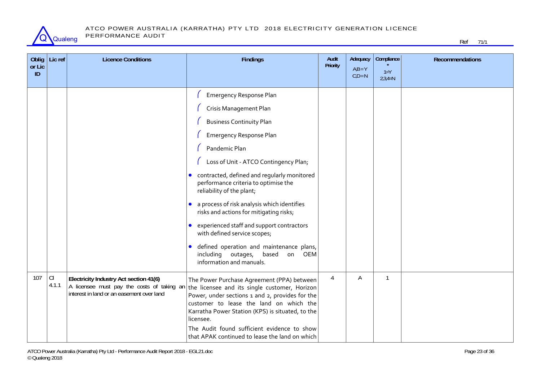

| Oblig<br>or Lic<br>ID | Lic ref      | <b>Licence Conditions</b>                                                                                                         | <b>Findings</b>                                                                                                                                                                                                                                                                                                                                                                                                                                                                                                                                                                                                                 | Audit<br>Priority | Adequacy<br>$A,B = Y$<br>$C,D = N$ | Compliance<br>$1 = Y$<br>$2,3,4=N$ | <b>Recommendations</b> |
|-----------------------|--------------|-----------------------------------------------------------------------------------------------------------------------------------|---------------------------------------------------------------------------------------------------------------------------------------------------------------------------------------------------------------------------------------------------------------------------------------------------------------------------------------------------------------------------------------------------------------------------------------------------------------------------------------------------------------------------------------------------------------------------------------------------------------------------------|-------------------|------------------------------------|------------------------------------|------------------------|
|                       |              |                                                                                                                                   | <b>Emergency Response Plan</b><br>Crisis Management Plan<br><b>Business Continuity Plan</b><br><b>Emergency Response Plan</b><br>Pandemic Plan<br>Loss of Unit - ATCO Contingency Plan;<br>• contracted, defined and regularly monitored<br>performance criteria to optimise the<br>reliability of the plant;<br>a process of risk analysis which identifies<br>risks and actions for mitigating risks;<br>experienced staff and support contractors<br>$\bullet$<br>with defined service scopes;<br>defined operation and maintenance plans,<br>$\bullet$<br>including outages,<br>based<br>on OEM<br>information and manuals. |                   |                                    |                                    |                        |
| 107                   | CI.<br>4.1.1 | Electricity Industry Act section 41(6)<br>A licensee must pay the costs of taking an<br>interest in land or an easement over land | The Power Purchase Agreement (PPA) between<br>the licensee and its single customer, Horizon<br>Power, under sections 1 and 2, provides for the<br>customer to lease the land on which the<br>Karratha Power Station (KPS) is situated, to the<br>licensee.<br>The Audit found sufficient evidence to show<br>that APAK continued to lease the land on which                                                                                                                                                                                                                                                                     | 4                 | Α                                  | $\mathbf{1}$                       |                        |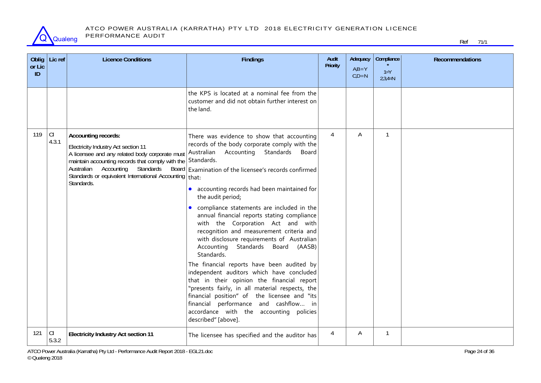

#### ATCO POWER AUSTRALIA (KARRATHA) PTY LTD 2018 ELECTRICITY GENERATION LICENCE PERFORMANCE AUDIT

| Oblig<br>or Lic<br>ID | Lic ref     | <b>Licence Conditions</b>                                                                                                                                                                                                                                                                   | <b>Findings</b>                                                                                                                                                                                                                                                                                                                                                                                                                                                                                                                                                                                                                                                                                                                                                                                                                                                                                            | Audit<br><b>Priority</b> | Adequacy<br>$A,B = Y$<br>$C.D = N$ | Compliance<br>$1 = Y$<br>$2,3,4=N$ | <b>Recommendations</b> |
|-----------------------|-------------|---------------------------------------------------------------------------------------------------------------------------------------------------------------------------------------------------------------------------------------------------------------------------------------------|------------------------------------------------------------------------------------------------------------------------------------------------------------------------------------------------------------------------------------------------------------------------------------------------------------------------------------------------------------------------------------------------------------------------------------------------------------------------------------------------------------------------------------------------------------------------------------------------------------------------------------------------------------------------------------------------------------------------------------------------------------------------------------------------------------------------------------------------------------------------------------------------------------|--------------------------|------------------------------------|------------------------------------|------------------------|
|                       |             |                                                                                                                                                                                                                                                                                             | the KPS is located at a nominal fee from the<br>customer and did not obtain further interest on<br>the land.                                                                                                                                                                                                                                                                                                                                                                                                                                                                                                                                                                                                                                                                                                                                                                                               |                          |                                    |                                    |                        |
| 119                   | CI<br>4.3.1 | Accounting records:<br>Electricity Industry Act section 11<br>A licensee and any related body corporate must<br>maintain accounting records that comply with the Standards.<br>Australian Accounting<br>Standards<br>Standards or equivalent International Accounting   that:<br>Standards. | There was evidence to show that accounting<br>records of the body corporate comply with the<br>Australian Accounting Standards<br>Board<br>Board Examination of the licensee's records confirmed<br>• accounting records had been maintained for<br>the audit period;<br>compliance statements are included in the<br>annual financial reports stating compliance<br>with the Corporation Act and with<br>recognition and measurement criteria and<br>with disclosure requirements of Australian<br>Accounting Standards Board (AASB)<br>Standards.<br>The financial reports have been audited by<br>independent auditors which have concluded<br>that in their opinion the financial report<br>"presents fairly, in all material respects, the<br>financial position" of the licensee and "its<br>financial performance and cashflow in<br>accordance with the accounting policies<br>described" [above]. | $\overline{4}$           | A                                  | $\mathbf{1}$                       |                        |
| 121                   | C <br>5.3.2 | <b>Electricity Industry Act section 11</b>                                                                                                                                                                                                                                                  | The licensee has specified and the auditor has                                                                                                                                                                                                                                                                                                                                                                                                                                                                                                                                                                                                                                                                                                                                                                                                                                                             | 4                        | A                                  | $\mathbf{1}$                       |                        |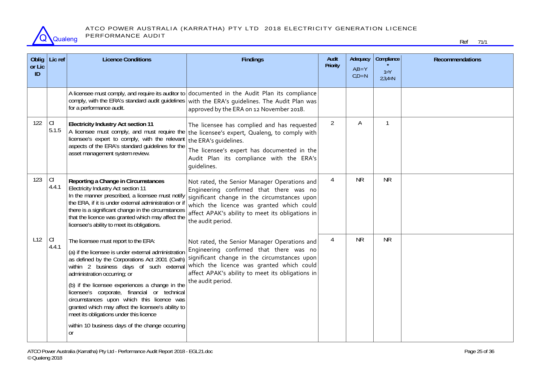

| Oblig<br>or Lic<br>ID | Lic ref      | <b>Licence Conditions</b>                                                                                                                                                                                                                                                                                                                                                                                                                                                                                                           | <b>Findings</b>                                                                                                                                                                                                                                               | Audit<br>Priority | Adequacy<br>$AiB = Y$<br>$C,D = N$ | Compliance<br>$1 = Y$<br>$2,3,4=N$ | <b>Recommendations</b> |
|-----------------------|--------------|-------------------------------------------------------------------------------------------------------------------------------------------------------------------------------------------------------------------------------------------------------------------------------------------------------------------------------------------------------------------------------------------------------------------------------------------------------------------------------------------------------------------------------------|---------------------------------------------------------------------------------------------------------------------------------------------------------------------------------------------------------------------------------------------------------------|-------------------|------------------------------------|------------------------------------|------------------------|
|                       |              | comply, with the ERA's standard audit guidelines<br>for a performance audit.                                                                                                                                                                                                                                                                                                                                                                                                                                                        | A licensee must comply, and require its auditor to documented in the Audit Plan its compliance<br>with the ERA's guidelines. The Audit Plan was<br>approved by the ERA on 12 November 2018.                                                                   |                   |                                    |                                    |                        |
| 122                   | C <br>5.1.5  | <b>Electricity Industry Act section 11</b><br>A licensee must comply, and must require the<br>licensee's expert to comply, with the relevant<br>aspects of the ERA's standard guidelines for the<br>asset management system review.                                                                                                                                                                                                                                                                                                 | The licensee has complied and has requested<br>the licensee's expert, Qualeng, to comply with<br>the ERA's quidelines.<br>The licensee's expert has documented in the<br>Audit Plan its compliance with the ERA's<br>quidelines.                              | $\overline{2}$    | Α                                  | $\mathbf{1}$                       |                        |
| 123                   | CI.<br>4.4.1 | Reporting a Change in Circumstances<br>Electricity Industry Act section 11<br>In the manner prescribed, a licensee must notify<br>the ERA, if it is under external administration or i<br>there is a significant change in the circumstances<br>that the licence was granted which may affect the<br>licensee's ability to meet its obligations.                                                                                                                                                                                    | Not rated, the Senior Manager Operations and<br>Engineering confirmed that there was no<br>significant change in the circumstances upon<br>which the licence was granted which could<br>affect APAK's ability to meet its obligations in<br>the audit period. | $\overline{4}$    | <b>NR</b>                          | <b>NR</b>                          |                        |
| L12                   | CI<br>4.4.1  | The licensee must report to the ERA:<br>(a) if the licensee is under external administration<br>as defined by the Corporations Act 2001 (Cwth)<br>within 2 business days of such external<br>administration occurring; or<br>(b) if the licensee experiences a change in the<br>licensee's corporate, financial or technical<br>circumstances upon which this licence was<br>granted which may affect the licensee's ability to<br>meet its obligations under this licence<br>within 10 business days of the change occurring<br>or | Not rated, the Senior Manager Operations and<br>Engineering confirmed that there was no<br>significant change in the circumstances upon<br>which the licence was granted which could<br>affect APAK's ability to meet its obligations in<br>the audit period. | 4                 | <b>NR</b>                          | <b>NR</b>                          |                        |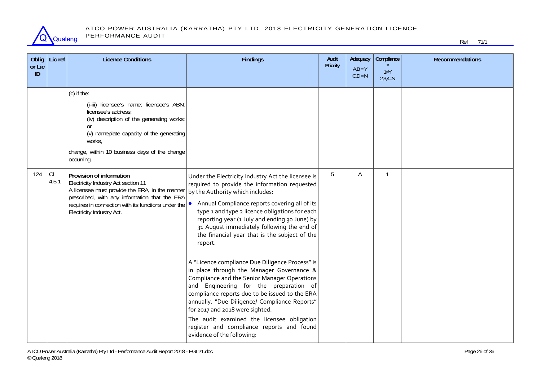

| Oblig<br>or Lic<br>ID | Lic ref     | <b>Licence Conditions</b>                                                                                                                                                                                                                                         | <b>Findings</b>                                                                                                                                                                                                                                                                                                                                                                                                                                                                                                                                                                                                                                                                                                                       | Audit<br>Priority | Adequacy<br>$A,B = Y$<br>$C,D = N$ | Compliance<br>$1 = Y$<br>$2,3,4=N$ | <b>Recommendations</b> |
|-----------------------|-------------|-------------------------------------------------------------------------------------------------------------------------------------------------------------------------------------------------------------------------------------------------------------------|---------------------------------------------------------------------------------------------------------------------------------------------------------------------------------------------------------------------------------------------------------------------------------------------------------------------------------------------------------------------------------------------------------------------------------------------------------------------------------------------------------------------------------------------------------------------------------------------------------------------------------------------------------------------------------------------------------------------------------------|-------------------|------------------------------------|------------------------------------|------------------------|
|                       |             | (c) if the:<br>(i-iii) licensee's name; licensee's ABN;<br>licensee's address;<br>(iv) description of the generating works;<br><sub>Or</sub><br>(v) nameplate capacity of the generating<br>works,<br>change, within 10 business days of the change<br>occurring. |                                                                                                                                                                                                                                                                                                                                                                                                                                                                                                                                                                                                                                                                                                                                       |                   |                                    |                                    |                        |
| 124                   | CI<br>4.5.1 | Provision of information<br>Electricity Industry Act section 11<br>A licensee must provide the ERA, in the manner<br>prescribed, with any information that the ERA<br>requires in connection with its functions under the<br>Electricity Industry Act.            | Under the Electricity Industry Act the licensee is<br>required to provide the information requested<br>by the Authority which includes:<br>Annual Compliance reports covering all of its<br>type 1 and type 2 licence obligations for each<br>reporting year (1 July and ending 30 June) by<br>31 August immediately following the end of<br>the financial year that is the subject of the<br>report.<br>A "Licence compliance Due Diligence Process" is<br>in place through the Manager Governance &<br>Compliance and the Senior Manager Operations<br>and Engineering for the preparation of<br>compliance reports due to be issued to the ERA<br>annually. "Due Diligence/ Compliance Reports"<br>for 2017 and 2018 were sighted. | 5                 | Α                                  | $\mathbf{1}$                       |                        |
|                       |             |                                                                                                                                                                                                                                                                   | The audit examined the licensee obligation<br>register and compliance reports and found<br>evidence of the following:                                                                                                                                                                                                                                                                                                                                                                                                                                                                                                                                                                                                                 |                   |                                    |                                    |                        |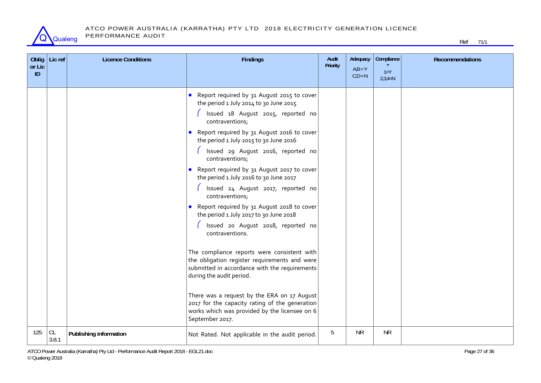

| or Lic | Oblig   Lic ref | <b>Licence Conditions</b> | <b>Findings</b>                                                                                                                                                                                                                                                                                                                                                                                                                                                                                                                                                                                                                                                                                                                                                                                                                                                                                                                                            | Audit<br>Priority | Adequacy<br>$AiB = Y$ | Compliance<br>$1 = Y$ | <b>Recommendations</b> |
|--------|-----------------|---------------------------|------------------------------------------------------------------------------------------------------------------------------------------------------------------------------------------------------------------------------------------------------------------------------------------------------------------------------------------------------------------------------------------------------------------------------------------------------------------------------------------------------------------------------------------------------------------------------------------------------------------------------------------------------------------------------------------------------------------------------------------------------------------------------------------------------------------------------------------------------------------------------------------------------------------------------------------------------------|-------------------|-----------------------|-----------------------|------------------------|
| ID     |                 |                           |                                                                                                                                                                                                                                                                                                                                                                                                                                                                                                                                                                                                                                                                                                                                                                                                                                                                                                                                                            |                   | $C,D = N$             | $2,3,4=N$             |                        |
|        |                 |                           | • Report required by 31 August 2015 to cover<br>the period 1 July 2014 to 30 June 2015<br>Issued 18 August 2015, reported no<br>contraventions;<br>• Report required by 31 August 2016 to cover<br>the period 1 July 2015 to 30 June 2016<br>Issued 29 August 2016, reported no<br>contraventions;<br>• Report required by 31 August 2017 to cover<br>the period 1 July 2016 to 30 June 2017<br>Issued 24 August 2017, reported no<br>contraventions;<br>• Report required by 31 August 2018 to cover<br>the period 1 July 2017 to 30 June 2018<br>Issued 20 August 2018, reported no<br>contraventions.<br>The compliance reports were consistent with<br>the obligation register requirements and were<br>submitted in accordance with the requirements<br>during the audit period.<br>There was a request by the ERA on 17 August<br>2017 for the capacity rating of the generation<br>works which was provided by the licensee on 6<br>September 2017. |                   |                       |                       |                        |
| 125    | CL<br>3.8.1     | Publishing information    | Not Rated. Not applicable in the audit period.                                                                                                                                                                                                                                                                                                                                                                                                                                                                                                                                                                                                                                                                                                                                                                                                                                                                                                             | 5                 | <b>NR</b>             | <b>NR</b>             |                        |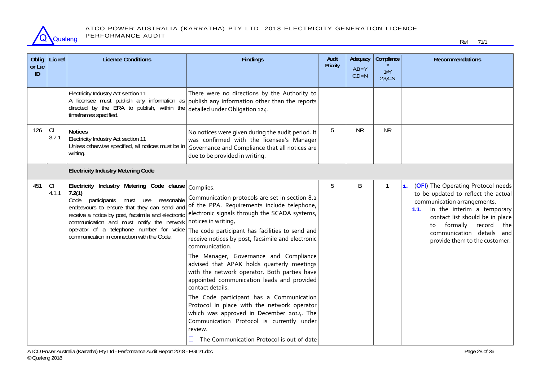

| Oblig<br>or Lic<br>ID | Lic ref     | <b>Licence Conditions</b>                                                                                                                                                                                                                                                                                                                   | <b>Findings</b>                                                                                                                                                                                                                                                                                                                                                                                                                                                                                                                                                                                                                                                                                                                                                    | Audit<br><b>Priority</b> | Adequacy<br>$AiB = Y$<br>$C,D = N$ | Compliance<br>$1 = Y$<br>$2,3,4=N$ | <b>Recommendations</b>                                                                                                                                                                                                                                                                               |
|-----------------------|-------------|---------------------------------------------------------------------------------------------------------------------------------------------------------------------------------------------------------------------------------------------------------------------------------------------------------------------------------------------|--------------------------------------------------------------------------------------------------------------------------------------------------------------------------------------------------------------------------------------------------------------------------------------------------------------------------------------------------------------------------------------------------------------------------------------------------------------------------------------------------------------------------------------------------------------------------------------------------------------------------------------------------------------------------------------------------------------------------------------------------------------------|--------------------------|------------------------------------|------------------------------------|------------------------------------------------------------------------------------------------------------------------------------------------------------------------------------------------------------------------------------------------------------------------------------------------------|
|                       |             | Electricity Industry Act section 11<br>A licensee must publish any information as<br>directed by the ERA to publish, within the<br>timeframes specified.                                                                                                                                                                                    | There were no directions by the Authority to<br>publish any information other than the reports<br>detailed under Obligation 124.                                                                                                                                                                                                                                                                                                                                                                                                                                                                                                                                                                                                                                   |                          |                                    |                                    |                                                                                                                                                                                                                                                                                                      |
| 126                   | CI<br>3.7.1 | <b>Notices</b><br>Electricity Industry Act section 11<br>Unless otherwise specified, all notices must be in<br>writing.                                                                                                                                                                                                                     | No notices were given during the audit period. It<br>was confirmed with the licensee's Manager<br>Governance and Compliance that all notices are<br>due to be provided in writing.                                                                                                                                                                                                                                                                                                                                                                                                                                                                                                                                                                                 | 5                        | <b>NR</b>                          | <b>NR</b>                          |                                                                                                                                                                                                                                                                                                      |
|                       |             | <b>Electricity Industry Metering Code</b>                                                                                                                                                                                                                                                                                                   |                                                                                                                                                                                                                                                                                                                                                                                                                                                                                                                                                                                                                                                                                                                                                                    |                          |                                    |                                    |                                                                                                                                                                                                                                                                                                      |
| 451                   | CI<br>4.1.1 | Electricity Industry Metering Code clause<br>7.2(1)<br>participants must use reasonable<br>Code<br>endeavours to ensure that they can send and<br>receive a notice by post, facsimile and electronic<br>communication and must notify the network<br>operator of a telephone number for voice<br>communication in connection with the Code. | Complies.<br>Communication protocols are set in section 8.2<br>of the PPA. Requirements include telephone,<br>electronic signals through the SCADA systems,<br>notices in writing,<br>The code participant has facilities to send and<br>receive notices by post, facsimile and electronic<br>communication.<br>The Manager, Governance and Compliance<br>advised that APAK holds quarterly meetings<br>with the network operator. Both parties have<br>appointed communication leads and provided<br>contact details.<br>The Code participant has a Communication<br>Protocol in place with the network operator<br>which was approved in December 2014. The<br>Communication Protocol is currently under<br>review.<br>The Communication Protocol is out of date | 5                        | B                                  | 1                                  | (OFI) The Operating Protocol needs<br>$\mathbf{1}$ .<br>to be updated to reflect the actual<br>communication arrangements.<br>In the interim a temporary<br>1.1.<br>contact list should be in place<br>formally<br>record<br>the<br>to<br>communication details and<br>provide them to the customer. |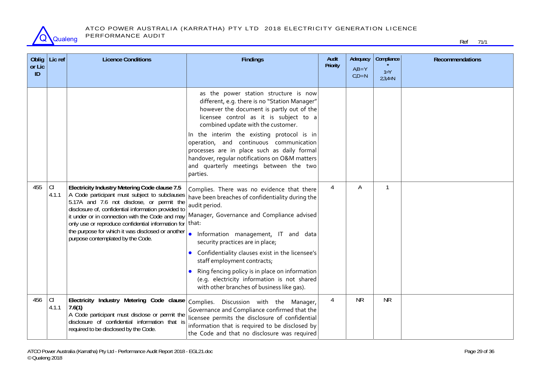

| Oblig<br>or Lic<br>ID | Lic ref     | <b>Licence Conditions</b>                                                                                                                                                                                                                                                                                                                                                                             | <b>Findings</b>                                                                                                                                                                                                                                                                                                                                                                                                                                                                    | Audit<br>Priority | Adequacy<br>$A,B = Y$<br>$C,D = N$ | Compliance<br>$1 = Y$<br>$2,3,4=N$ | <b>Recommendations</b> |
|-----------------------|-------------|-------------------------------------------------------------------------------------------------------------------------------------------------------------------------------------------------------------------------------------------------------------------------------------------------------------------------------------------------------------------------------------------------------|------------------------------------------------------------------------------------------------------------------------------------------------------------------------------------------------------------------------------------------------------------------------------------------------------------------------------------------------------------------------------------------------------------------------------------------------------------------------------------|-------------------|------------------------------------|------------------------------------|------------------------|
|                       |             |                                                                                                                                                                                                                                                                                                                                                                                                       | as the power station structure is now<br>different, e.g. there is no "Station Manager"<br>however the document is partly out of the<br>licensee control as it is subject to a<br>combined update with the customer.<br>In the interim the existing protocol is in<br>operation, and continuous communication<br>processes are in place such as daily formal<br>handover, regular notifications on O&M matters<br>and quarterly meetings between the two<br>parties.                |                   |                                    |                                    |                        |
| 455                   | C <br>4.1.1 | Electricity Industry Metering Code clause 7.5<br>A Code participant must subject to subclauses<br>5.17A and 7.6 not disclose, or permit the<br>disclosure of, confidential information provided to<br>it under or in connection with the Code and may<br>only use or reproduce confidential information for<br>the purpose for which it was disclosed or another<br>purpose contemplated by the Code. | Complies. There was no evidence that there<br>have been breaches of confidentiality during the<br>audit period.<br>Manager, Governance and Compliance advised<br>that:<br>Information management, IT and data<br>security practices are in place;<br>Confidentiality clauses exist in the licensee's<br>staff employment contracts;<br>Ring fencing policy is in place on information<br>(e.g. electricity information is not shared<br>with other branches of business like gas). | 4                 | Α                                  |                                    |                        |
| 456                   | C <br>4.1.1 | Electricity Industry Metering Code clause<br>7.6(1)<br>A Code participant must disclose or permit the<br>disclosure of confidential information that is<br>required to be disclosed by the Code.                                                                                                                                                                                                      | Complies. Discussion with the Manager,<br>Governance and Compliance confirmed that the<br>licensee permits the disclosure of confidential<br>information that is required to be disclosed by<br>the Code and that no disclosure was required                                                                                                                                                                                                                                       | 4                 | <b>NR</b>                          | <b>NR</b>                          |                        |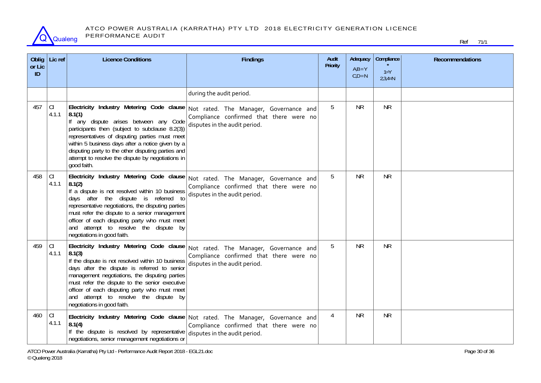

#### ATCO POWER AUSTRALIA (KARRATHA) PTY LTD 2018 ELECTRICITY GENERATION LICENCE PERFORMANCE AUDIT

| Oblig<br>or Lic<br>ID | Lic ref     | <b>Licence Conditions</b>                                                                                                                                                                                                                                                                                                                                                             | <b>Findings</b>                                                                                                                                              | Audit<br><b>Priority</b> | Adequacy<br>$AiB = Y$<br>$C,D = N$ | Compliance<br>$1 = Y$<br>$2,3,4=N$ | <b>Recommendations</b> |
|-----------------------|-------------|---------------------------------------------------------------------------------------------------------------------------------------------------------------------------------------------------------------------------------------------------------------------------------------------------------------------------------------------------------------------------------------|--------------------------------------------------------------------------------------------------------------------------------------------------------------|--------------------------|------------------------------------|------------------------------------|------------------------|
|                       |             |                                                                                                                                                                                                                                                                                                                                                                                       | during the audit period.                                                                                                                                     |                          |                                    |                                    |                        |
| 457                   | CI<br>4.1.1 | Electricity Industry Metering Code clause<br>8.1(1)<br>If any dispute arises between any Code<br>participants then (subject to subclause 8.2(3))<br>representatives of disputing parties must meet<br>within 5 business days after a notice given by a<br>disputing party to the other disputing parties and<br>attempt to resolve the dispute by negotiations in<br>good faith.      | Not rated. The Manager, Governance and<br>Compliance confirmed that there were no<br>disputes in the audit period.                                           | 5                        | <b>NR</b>                          | <b>NR</b>                          |                        |
| 458                   | CI<br>4.1.1 | Electricity Industry Metering Code clause<br>8.1(2)<br>If a dispute is not resolved within 10 business<br>days after the dispute is referred to<br>representative negotiations, the disputing parties<br>must refer the dispute to a senior management<br>officer of each disputing party who must meet<br>and attempt to resolve the dispute by<br>negotiations in good faith.       | Not rated. The Manager, Governance and<br>Compliance confirmed that there were no<br>disputes in the audit period.                                           | 5                        | <b>NR</b>                          | <b>NR</b>                          |                        |
| 459                   | CI<br>4.1.1 | Electricity Industry Metering Code clause<br>8.1(3)<br>If the dispute is not resolved within 10 business<br>days after the dispute is referred to senior<br>management negotiations, the disputing parties<br>must refer the dispute to the senior executive<br>officer of each disputing party who must meet<br>and attempt to resolve the dispute by<br>negotiations in good faith. | Not rated. The Manager, Governance and<br>Compliance confirmed that there were no<br>disputes in the audit period.                                           | 5                        | <b>NR</b>                          | <b>NR</b>                          |                        |
| 460                   | CI<br>4.1.1 | 8.1(4)<br>If the dispute is resolved by representative<br>negotiations, senior management negotiations or                                                                                                                                                                                                                                                                             | Electricity Industry Metering Code clause Not rated. The Manager, Governance and<br>Compliance confirmed that there were no<br>disputes in the audit period. | $\overline{4}$           | <b>NR</b>                          | <b>NR</b>                          |                        |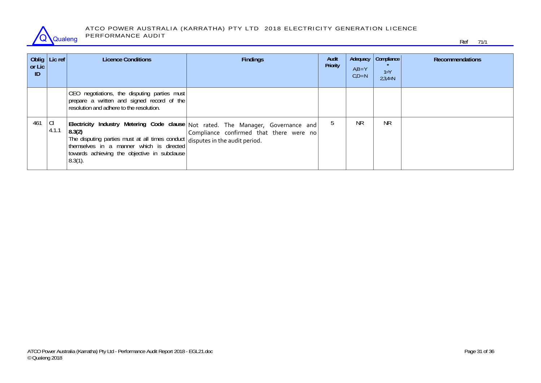

#### ATCO POWER AUSTRALIA (KARRATHA) PTY LTD 2018 ELECTRICITY GENERATION LICENCE PERFORMANCE AUDIT

| or Lic<br>ID | Oblig   Lic ref $ $ | <b>Licence Conditions</b>                                                                                                                             | <b>Findings</b>                                                                                                                 | Audit<br>Priority | $AiB = Y$<br>$C,D = N$ | Adequacy   Compliance  <br>$1 = Y$<br>$2,3,4=N$ | <b>Recommendations</b> |
|--------------|---------------------|-------------------------------------------------------------------------------------------------------------------------------------------------------|---------------------------------------------------------------------------------------------------------------------------------|-------------------|------------------------|-------------------------------------------------|------------------------|
|              |                     | CEO negotiations, the disputing parties must<br>prepare a written and signed record of the<br>resolution and adhere to the resolution.                |                                                                                                                                 |                   |                        |                                                 |                        |
| $461$ CI     | 4.1.1               | 8.3(2)<br>The disputing parties must at all times conduct disputes in the audit period.<br>towards achieving the objective in subclause<br>$8.3(1)$ . | Electricity Industry Metering Code clause Not rated. The Manager, Governance and<br>$ $ Compliance confirmed that there were no |                   | NR.                    | <b>NR</b>                                       |                        |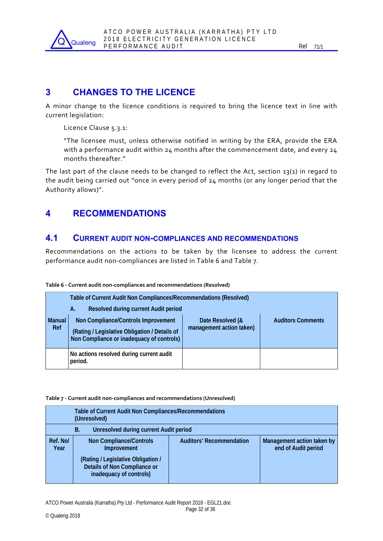

### **3 CHANGES TO THE LICENCE**

A minor change to the licence conditions is required to bring the licence text in line with current legislation:

Licence Clause 5.3.1:

"The licensee must, unless otherwise notified in writing by the ERA, provide the ERA with a performance audit within  $24$  months after the commencement date, and every  $24$ months thereafter."

The last part of the clause needs to be changed to reflect the Act, section 13(1) in regard to the audit being carried out "once in every period of 24 months (or any longer period that the Authority allows)".

### **4 RECOMMENDATIONS**

### **4.1 CURRENT AUDIT NON-COMPLIANCES AND RECOMMENDATIONS**

Recommendations on the actions to be taken by the licensee to address the current performance audit non‐compliances are listed in Table 6 and Table 7.

|                      | Table of Current Audit Non Compliances/Recommendations (Resolved)                                                                 |                                              |                          |  |  |  |  |
|----------------------|-----------------------------------------------------------------------------------------------------------------------------------|----------------------------------------------|--------------------------|--|--|--|--|
|                      | Resolved during current Audit period<br>А.                                                                                        |                                              |                          |  |  |  |  |
| <b>Manual</b><br>Ref | Non Compliance/Controls Improvement<br>(Rating / Legislative Obligation / Details of<br>Non Compliance or inadequacy of controls) | Date Resolved (&<br>management action taken) | <b>Auditors Comments</b> |  |  |  |  |
|                      | No actions resolved during current audit<br>period.                                                                               |                                              |                          |  |  |  |  |

#### **Table 6 ‐ Current audit non‐compliances and recommendations (Resolved)**

#### **Table 7 ‐ Current audit non‐compliances and recommendations (Unresolved)**

| <b>Table of Current Audit Non Compliances/Recommendations</b><br>(Unresolved) |                                                                                                                                                |                                 |                                                   |  |  |  |  |
|-------------------------------------------------------------------------------|------------------------------------------------------------------------------------------------------------------------------------------------|---------------------------------|---------------------------------------------------|--|--|--|--|
| <b>Unresolved during current Audit period</b><br>В.                           |                                                                                                                                                |                                 |                                                   |  |  |  |  |
| Ref. No/<br>Year                                                              | <b>Non Compliance/Controls</b><br>Improvement<br>(Rating / Legislative Obligation /<br>Details of Non Compliance or<br>inadequacy of controls) | <b>Auditors' Recommendation</b> | Management action taken by<br>end of Audit period |  |  |  |  |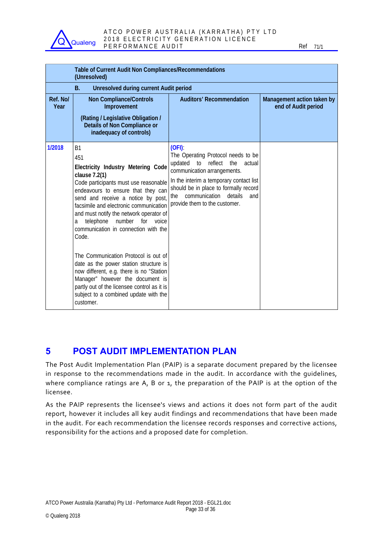

#### ATCO POWER AUSTRALIA (KARRATHA) PTY LTD 2018 ELECTRICITY GENERATION LICENCE P E R F O R M A N C E A U D I T REFORMANCE AU D I T

|                  | Table of Current Audit Non Compliances/Recommendations<br>(Unresolved)                                                                                                                                                                                                                                                                                                                                                                                                                                                                                                                                                                                |                                                                                                                                                                                                                                                                                        |                                                   |
|------------------|-------------------------------------------------------------------------------------------------------------------------------------------------------------------------------------------------------------------------------------------------------------------------------------------------------------------------------------------------------------------------------------------------------------------------------------------------------------------------------------------------------------------------------------------------------------------------------------------------------------------------------------------------------|----------------------------------------------------------------------------------------------------------------------------------------------------------------------------------------------------------------------------------------------------------------------------------------|---------------------------------------------------|
|                  | <b>Unresolved during current Audit period</b><br><b>B.</b>                                                                                                                                                                                                                                                                                                                                                                                                                                                                                                                                                                                            |                                                                                                                                                                                                                                                                                        |                                                   |
| Ref. No/<br>Year | <b>Non Compliance/Controls</b><br>Improvement                                                                                                                                                                                                                                                                                                                                                                                                                                                                                                                                                                                                         | <b>Auditors' Recommendation</b>                                                                                                                                                                                                                                                        | Management action taken by<br>end of Audit period |
|                  | (Rating / Legislative Obligation /<br><b>Details of Non Compliance or</b><br>inadequacy of controls)                                                                                                                                                                                                                                                                                                                                                                                                                                                                                                                                                  |                                                                                                                                                                                                                                                                                        |                                                   |
| 1/2018           | <b>B1</b><br>451<br>Electricity Industry Metering Code<br>clause 7.2(1)<br>Code participants must use reasonable<br>endeavours to ensure that they can<br>send and receive a notice by post,<br>facsimile and electronic communication<br>and must notify the network operator of<br>for<br>telephone<br>number<br>voice<br>a<br>communication in connection with the<br>Code.<br>The Communication Protocol is out of<br>date as the power station structure is<br>now different, e.g. there is no "Station<br>Manager" however the document is<br>partly out of the licensee control as it is<br>subject to a combined update with the<br>customer. | (OFI)<br>The Operating Protocol needs to be<br>updated<br>to<br>reflect<br>the<br>actual<br>communication arrangements.<br>In the interim a temporary contact list<br>should be in place to formally record<br>communication<br>details<br>the<br>and<br>provide them to the customer. |                                                   |

### **5 POST AUDIT IMPLEMENTATION PLAN**

The Post Audit Implementation Plan (PAIP) is a separate document prepared by the licensee in response to the recommendations made in the audit. In accordance with the guidelines, where compliance ratings are A, B or 1, the preparation of the PAIP is at the option of the licensee.

As the PAIP represents the licensee's views and actions it does not form part of the audit report, however it includes all key audit findings and recommendations that have been made in the audit. For each recommendation the licensee records responses and corrective actions, responsibility for the actions and a proposed date for completion.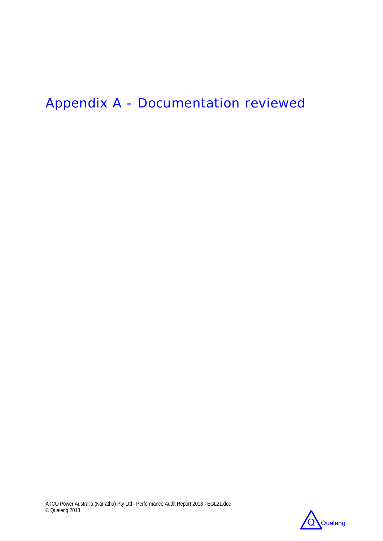# Appendix A - Documentation reviewed

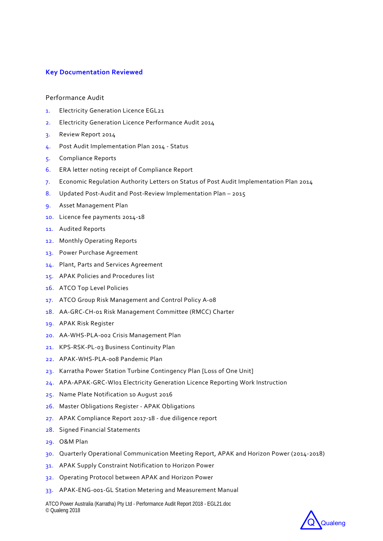#### **Key Documentation Reviewed**

#### Performance Audit

- 1. Electricity Generation Licence EGL21
- 2. Electricity Generation Licence Performance Audit 2014
- 3. Review Report 2014
- 4. Post Audit Implementation Plan 2014 ‐ Status
- 5. Compliance Reports
- 6. ERA letter noting receipt of Compliance Report
- 7. Economic Regulation Authority Letters on Status of Post Audit Implementation Plan 2014
- 8. Updated Post-Audit and Post-Review Implementation Plan 2015
- 9. Asset Management Plan
- 10. Licence fee payments 2014‐18
- 11. Audited Reports
- 12. Monthly Operating Reports
- 13. Power Purchase Agreement
- 14. Plant, Parts and Services Agreement
- 15. APAK Policies and Procedures list
- 16. ATCO Top Level Policies
- 17. ATCO Group Risk Management and Control Policy A-08
- 18. AA‐GRC‐CH‐01 Risk Management Committee (RMCC) Charter
- 19. APAK Risk Register
- 20. AA‐WHS‐PLA‐002 Crisis Management Plan
- 21. KPS‐RSK‐PL‐03 Business Continuity Plan
- 22. APAK‐WHS‐PLA‐008 Pandemic Plan
- 23. Karratha Power Station Turbine Contingency Plan [Loss of One Unit]
- 24. APA-APAK-GRC-WI01 Electricity Generation Licence Reporting Work Instruction
- 25. Name Plate Notification 10 August 2016
- 26. Master Obligations Register ‐ APAK Obligations
- 27. APAK Compliance Report 2017‐18 ‐ due diligence report
- 28. Signed Financial Statements
- 29. O&M Plan
- 30. Quarterly Operational Communication Meeting Report, APAK and Horizon Power (2014‐2018)
- 31. APAK Supply Constraint Notification to Horizon Power
- 32. Operating Protocol between APAK and Horizon Power
- 33. APAK‐ENG‐001‐GL Station Metering and Measurement Manual